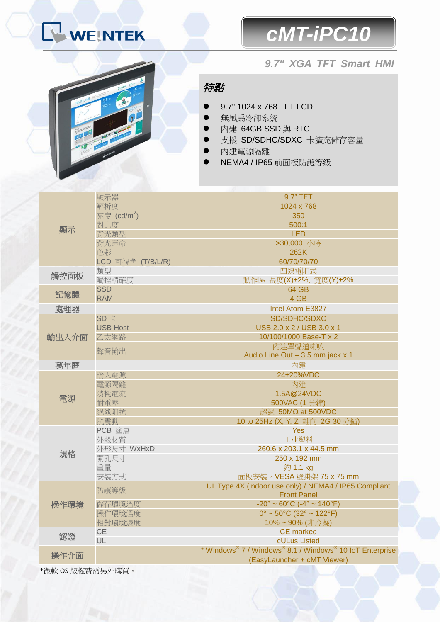# WEINTEK

### *cMT-iPC10*

#### *9.7" XGA TFT Smart HMI*



特點

- 9.7" 1024 x 768 TFT LCD
- 無風扇冷卻系統
- 内建 64GB SSD 與 RTC
- 支援 SD/SDHC/SDXC 卡擴充儲存容量
- 內建電源隔離
- NEMA4 / IP65 前面板防護等級

|            | 顯示器                     | 9.7" TFT                                                                 |
|------------|-------------------------|--------------------------------------------------------------------------|
| 顯示<br>觸控面板 | 解析度                     | 1024 x 768                                                               |
|            | 亮度 (cd/m <sup>2</sup> ) | 350                                                                      |
|            | 對比度                     | 500:1                                                                    |
|            | 背光類型                    | <b>LED</b>                                                               |
|            | 背光壽命                    | >30,000 小時                                                               |
|            | 色彩                      | 262K                                                                     |
|            | LCD 可視角 (T/B/L/R)       | 60/70/70/70                                                              |
|            | 類型                      | 四線電阻式                                                                    |
| 記憶體        | 觸控精確度                   | 動作區 長度(X)±2%, 寬度(Y)±2%                                                   |
|            | <b>SSD</b>              | 64 GB                                                                    |
|            | <b>RAM</b>              | 4 GB                                                                     |
| 處理器        |                         | Intel Atom E3827                                                         |
|            | $SD +$                  | SD/SDHC/SDXC                                                             |
| 輸出入介面      | <b>USB Host</b>         | USB 2.0 x 2 / USB 3.0 x 1                                                |
|            | 乙太網路                    | 10/100/1000 Base-T x 2                                                   |
|            | 聲音輸出                    | 内建單聲道喇叭                                                                  |
|            |                         | Audio Line Out - 3.5 mm jack x 1                                         |
| 萬年曆        |                         | 內建                                                                       |
| 電源         | 輸入電源                    | 24±20%VDC                                                                |
|            | 電源隔離                    | 內建                                                                       |
|            | 消耗電流                    | 1.5A@24VDC                                                               |
|            | 耐電壓                     | 500VAC (1分鐘)                                                             |
|            | 絕緣阻抗                    | 超過 50MΩ at 500VDC                                                        |
|            | 抗震動                     | 10 to 25Hz (X, Y, Z 軸向 2G 30 分鐘)                                         |
| 規格         | PCB 塗層                  | <b>Yes</b>                                                               |
|            | 外殼材質                    | 工业塑料                                                                     |
|            | 外形尺寸 WxHxD              | 260.6 x 203.1 x 44.5 mm                                                  |
|            | 開孔尺寸                    | 250 x 192 mm                                                             |
|            | 重量                      | 約 1.1 kg                                                                 |
|            | 安裝方式                    | 面板安裝, VESA 壁掛架 75 x 75 mm                                                |
| 操作環境       | 防護等級                    | UL Type 4X (indoor use only) / NEMA4 / IP65 Compliant                    |
|            |                         | <b>Front Panel</b>                                                       |
|            | 儲存環境溫度                  | $-20^{\circ} \sim 60^{\circ}$ C ( $-4^{\circ} \sim 140^{\circ}$ F)       |
|            | 操作環境溫度                  | $0^{\circ}$ ~ 50°C (32° ~ 122°F)                                         |
|            | 相對環境濕度                  | 10%~90% (非冷凝)                                                            |
| 認證         | CE                      | <b>CE</b> marked                                                         |
|            | UL                      | cULus Listed<br>* Windows® 7 / Windows® 8.1 / Windows® 10 IoT Enterprise |
| 操作介面       |                         |                                                                          |
|            |                         | (EasyLauncher + cMT Viewer)                                              |

\*微軟 OS 版權費需另外購買。